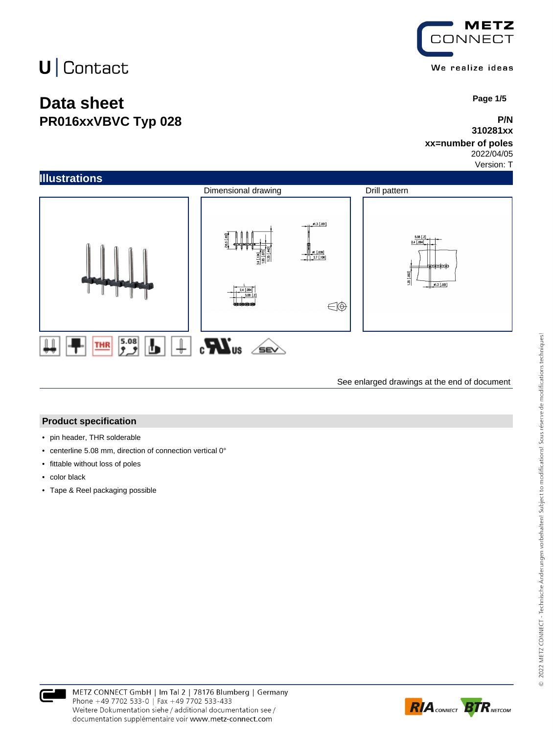### **Data sheet PR016xxVBVC Typ 028**



 **Page 1/5**

#### **P/N 310281xx**

### **xx=number of poles**

2022/04/05

Version: T



See enlarged drawings at the end of document

#### **Product specification**

- pin header, THR solderable
- centerline 5.08 mm, direction of connection vertical 0°
- fittable without loss of poles
- color black
- Tape & Reel packaging possible



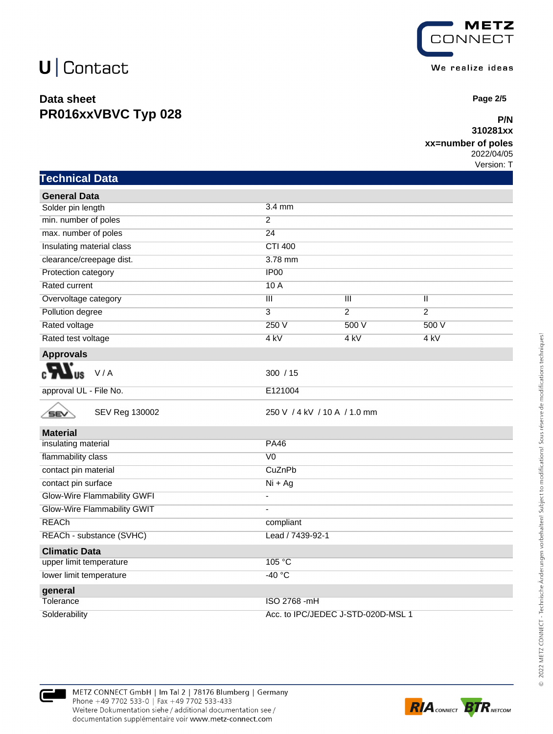**Technical Data**

### **Data sheet PR016xxVBVC Typ 028**



 **Page 2/5**

#### **P/N 310281xx**

### **xx=number of poles**

2022/04/05 Version: T

| <b>General Data</b>                |                                                    |  |
|------------------------------------|----------------------------------------------------|--|
| Solder pin length                  | 3.4 mm                                             |  |
| min. number of poles               | $\overline{2}$                                     |  |
| max. number of poles               | 24                                                 |  |
| Insulating material class          | <b>CTI 400</b>                                     |  |
| clearance/creepage dist.           | 3.78 mm                                            |  |
| Protection category                | IP00                                               |  |
| <b>Rated current</b>               | 10A                                                |  |
| Overvoltage category               | $\mathbf{III}$<br>$\mathbf{III}$<br>$\mathbf{II}$  |  |
| Pollution degree                   | $\overline{3}$<br>$\overline{2}$<br>$\overline{2}$ |  |
| Rated voltage                      | 250V<br>500 V<br>500 V                             |  |
| Rated test voltage                 | 4 kV<br>4 kV<br>4 kV                               |  |
| <b>Approvals</b>                   |                                                    |  |
| V/A                                | 300 / 15                                           |  |
| approval UL - File No.             | E121004                                            |  |
| SEV Reg 130002<br>SEV              | 250 V / 4 kV / 10 A / 1.0 mm                       |  |
| <b>Material</b>                    |                                                    |  |
| insulating material                | <b>PA46</b>                                        |  |
| flammability class                 | V <sub>0</sub>                                     |  |
| contact pin material               | CuZnPb                                             |  |
| contact pin surface                | $Ni + Ag$                                          |  |
| <b>Glow-Wire Flammability GWFI</b> | L,                                                 |  |
| Glow-Wire Flammability GWIT        |                                                    |  |
| <b>REACh</b>                       | compliant                                          |  |
| REACh - substance (SVHC)           | Lead / 7439-92-1                                   |  |
| <b>Climatic Data</b>               |                                                    |  |
| upper limit temperature            | 105 °C                                             |  |
| lower limit temperature            | $-40 °C$                                           |  |
| general                            |                                                    |  |
| Tolerance                          | ISO 2768 -mH                                       |  |
| Solderability                      | Acc. to IPC/JEDEC J-STD-020D-MSL 1                 |  |



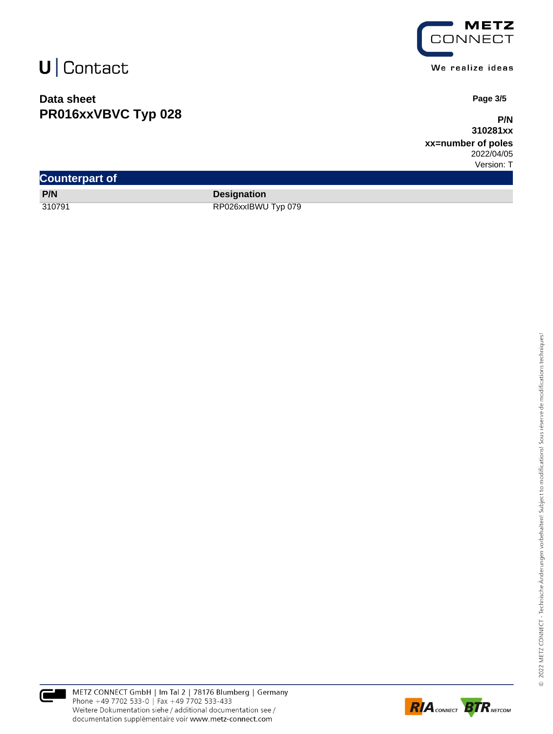### **Data sheet PR016xxVBVC Typ 028**



 **Page 3/5**

**P/N 310281xx**

**xx=number of poles** 2022/04/05

Version: T

| <b>Counterpart of</b> |                     |
|-----------------------|---------------------|
| P/N                   | <b>Designation</b>  |
| 310791                | RP026xxIBWU Typ 079 |



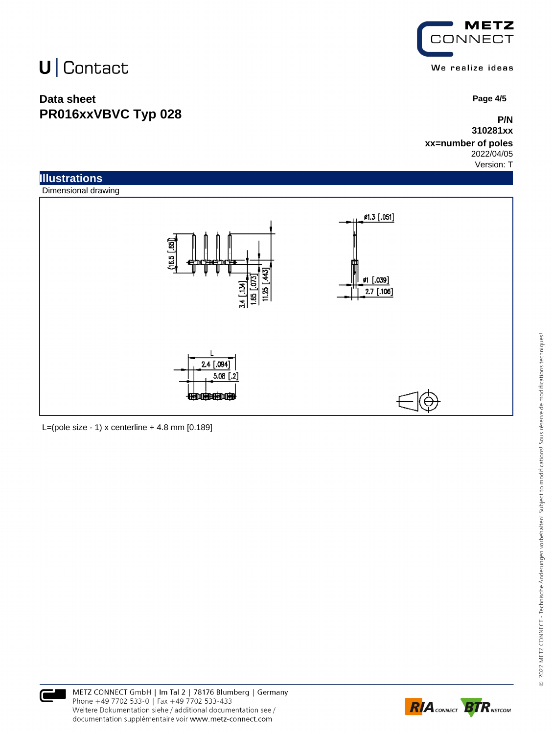### **Data sheet PR016xxVBVC Typ 028**



 **Page 4/5**

### **P/N 310281xx**

#### **xx=number of poles** 2022/04/05

Version: T



L=(pole size - 1) x centerline  $+$  4.8 mm [0.189]